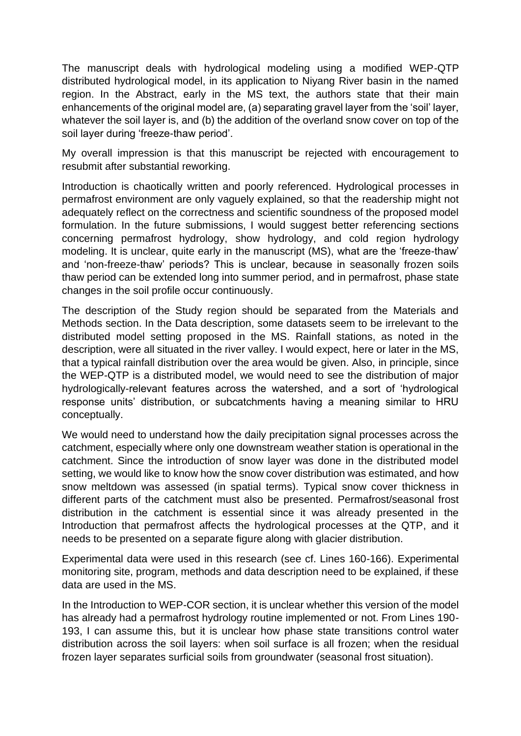The manuscript deals with hydrological modeling using a modified WEP-QTP distributed hydrological model, in its application to Niyang River basin in the named region. In the Abstract, early in the MS text, the authors state that their main enhancements of the original model are, (a) separating gravel layer from the 'soil' layer, whatever the soil layer is, and (b) the addition of the overland snow cover on top of the soil layer during 'freeze-thaw period'.

My overall impression is that this manuscript be rejected with encouragement to resubmit after substantial reworking.

Introduction is chaotically written and poorly referenced. Hydrological processes in permafrost environment are only vaguely explained, so that the readership might not adequately reflect on the correctness and scientific soundness of the proposed model formulation. In the future submissions, I would suggest better referencing sections concerning permafrost hydrology, show hydrology, and cold region hydrology modeling. It is unclear, quite early in the manuscript (MS), what are the 'freeze-thaw' and 'non-freeze-thaw' periods? This is unclear, because in seasonally frozen soils thaw period can be extended long into summer period, and in permafrost, phase state changes in the soil profile occur continuously.

The description of the Study region should be separated from the Materials and Methods section. In the Data description, some datasets seem to be irrelevant to the distributed model setting proposed in the MS. Rainfall stations, as noted in the description, were all situated in the river valley. I would expect, here or later in the MS, that a typical rainfall distribution over the area would be given. Also, in principle, since the WEP-QTP is a distributed model, we would need to see the distribution of major hydrologically-relevant features across the watershed, and a sort of 'hydrological response units' distribution, or subcatchments having a meaning similar to HRU conceptually.

We would need to understand how the daily precipitation signal processes across the catchment, especially where only one downstream weather station is operational in the catchment. Since the introduction of snow layer was done in the distributed model setting, we would like to know how the snow cover distribution was estimated, and how snow meltdown was assessed (in spatial terms). Typical snow cover thickness in different parts of the catchment must also be presented. Permafrost/seasonal frost distribution in the catchment is essential since it was already presented in the Introduction that permafrost affects the hydrological processes at the QTP, and it needs to be presented on a separate figure along with glacier distribution.

Experimental data were used in this research (see cf. Lines 160-166). Experimental monitoring site, program, methods and data description need to be explained, if these data are used in the MS.

In the Introduction to WEP-COR section, it is unclear whether this version of the model has already had a permafrost hydrology routine implemented or not. From Lines 190- 193, I can assume this, but it is unclear how phase state transitions control water distribution across the soil layers: when soil surface is all frozen; when the residual frozen layer separates surficial soils from groundwater (seasonal frost situation).